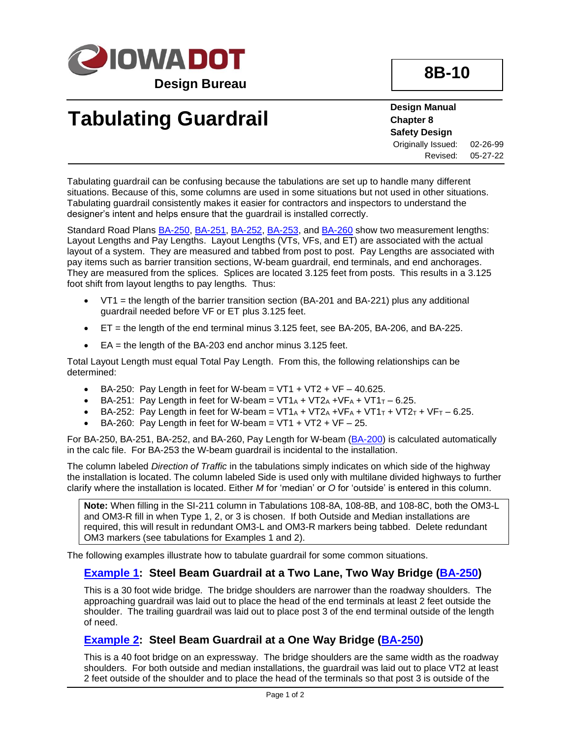

**8B-10**

## **Tabulating Guardrail**

**Design Manual Chapter 8 Safety Design** Originally Issued: 02-26-99 Revised: 05-27-22

Tabulating guardrail can be confusing because the tabulations are set up to handle many different situations. Because of this, some columns are used in some situations but not used in other situations. Tabulating guardrail consistently makes it easier for contractors and inspectors to understand the designer's intent and helps ensure that the guardrail is installed correctly.

Standard Road Plans [BA-250,](../SRP/IndividualStandards/ba250.pdf) [BA-251,](../SRP/IndividualStandards/ba251.pdf) [BA-252,](../SRP/IndividualStandards/ba252.pdf) [BA-253,](../SRP/IndividualStandards/ba253.pdf) and [BA-260](../SRP/IndividualStandards/ba260.pdf) show two measurement lengths: Layout Lengths and Pay Lengths. Layout Lengths (VTs, VFs, and ET) are associated with the actual layout of a system. They are measured and tabbed from post to post. Pay Lengths are associated with pay items such as barrier transition sections, W-beam guardrail, end terminals, and end anchorages. They are measured from the splices. Splices are located 3.125 feet from posts. This results in a 3.125 foot shift from layout lengths to pay lengths. Thus:

- $VT1$  = the length of the barrier transition section (BA-201 and BA-221) plus any additional guardrail needed before VF or ET plus 3.125 feet.
- ET = the length of the end terminal minus 3.125 feet, see BA-205, BA-206, and BA-225.
- $\bullet$  EA = the length of the BA-203 end anchor minus 3.125 feet.

Total Layout Length must equal Total Pay Length. From this, the following relationships can be determined:

- BA-250: Pay Length in feet for W-beam =  $VT1 + VT2 + VF 40.625$ .
- BA-251: Pay Length in feet for W-beam =  $VT1_A + VT2_A + VF_A + VT1_T 6.25$ .
- BA-252: Pay Length in feet for W-beam =  $VT1_A + VT2_A + VF_A + VT1_T + VT2_T + VF_T 6.25$ .
- BA-260: Pay Length in feet for W-beam =  $VT1 + VT2 + VF 25$ .

For BA-250, BA-251, BA-252, and BA-260, Pay Length for W-beam [\(BA-200\)](../SRP/IndividualStandards/ba200.pdf) is calculated automatically in the calc file. For BA-253 the W-beam guardrail is incidental to the installation.

The column labeled *Direction of Traffic* in the tabulations simply indicates on which side of the highway the installation is located. The column labeled Side is used only with multilane divided highways to further clarify where the installation is located. Either *M* for 'median' or *O* for 'outside' is entered in this column.

**Note:** When filling in the SI-211 column in Tabulations 108-8A, 108-8B, and 108-8C, both the OM3-L and OM3-R fill in when Type 1, 2, or 3 is chosen. If both Outside and Median installations are required, this will result in redundant OM3-L and OM3-R markers being tabbed. Delete redundant OM3 markers (see tabulations for Examples 1 and 2).

The following examples illustrate how to tabulate guardrail for some common situations.

#### **[Example 1:](08B-10/Example1.pdf) Steel Beam Guardrail at a Two Lane, Two Way Bridge [\(BA-250\)](../SRP/IndividualStandards/ba250.pdf)**

This is a 30 foot wide bridge. The bridge shoulders are narrower than the roadway shoulders. The approaching guardrail was laid out to place the head of the end terminals at least 2 feet outside the shoulder. The trailing guardrail was laid out to place post 3 of the end terminal outside of the length of need.

#### **[Example](08B-10/Example2.pdf) 2: Steel Beam Guardrail at a One Way Bridge [\(BA-250\)](../SRP/IndividualStandards/ba250.pdf)**

This is a 40 foot bridge on an expressway. The bridge shoulders are the same width as the roadway shoulders. For both outside and median installations, the guardrail was laid out to place VT2 at least 2 feet outside of the shoulder and to place the head of the terminals so that post 3 is outside of the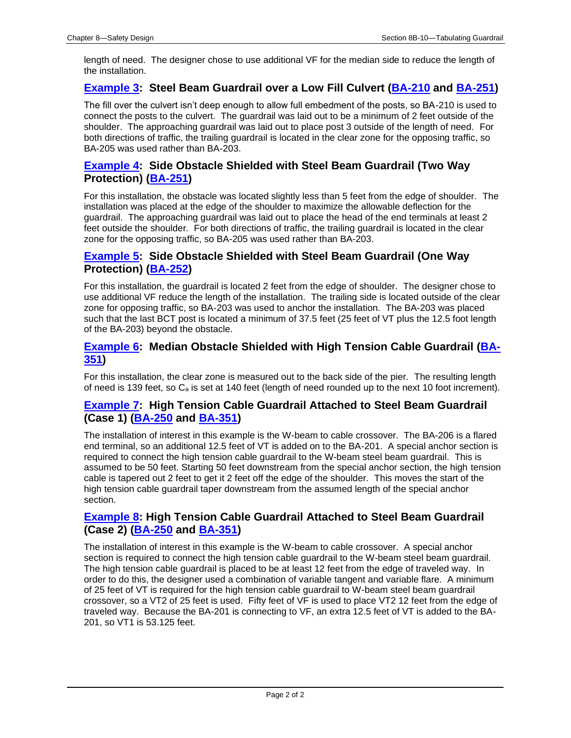length of need. The designer chose to use additional VF for the median side to reduce the length of the installation.

#### **[Example 3:](08B-10/Example3.pdf) Steel Beam Guardrail over a Low Fill Culvert [\(BA-210](../SRP/IndividualStandards/ba210.pdf) and [BA-251\)](../SRP/IndividualStandards/ba251.pdf)**

The fill over the culvert isn't deep enough to allow full embedment of the posts, so BA-210 is used to connect the posts to the culvert. The guardrail was laid out to be a minimum of 2 feet outside of the shoulder. The approaching guardrail was laid out to place post 3 outside of the length of need. For both directions of traffic, the trailing guardrail is located in the clear zone for the opposing traffic, so BA-205 was used rather than BA-203.

#### **[Example 4:](08b-10/Example4.pdf) Side Obstacle Shielded with Steel Beam Guardrail (Two Way Protection) [\(BA-251\)](../SRP/IndividualStandards/ba251.pdf)**

For this installation, the obstacle was located slightly less than 5 feet from the edge of shoulder. The installation was placed at the edge of the shoulder to maximize the allowable deflection for the guardrail. The approaching guardrail was laid out to place the head of the end terminals at least 2 feet outside the shoulder. For both directions of traffic, the trailing guardrail is located in the clear zone for the opposing traffic, so BA-205 was used rather than BA-203.

#### **[Example 5:](08B-10/Example5.pdf) Side Obstacle Shielded with Steel Beam Guardrail (One Way Protection) [\(BA-252\)](../SRP/IndividualStandards/ba252.pdf)**

For this installation, the guardrail is located 2 feet from the edge of shoulder. The designer chose to use additional VF reduce the length of the installation. The trailing side is located outside of the clear zone for opposing traffic, so BA-203 was used to anchor the installation. The BA-203 was placed such that the last BCT post is located a minimum of 37.5 feet (25 feet of VT plus the 12.5 foot length of the BA-203) beyond the obstacle.

#### **[Example 6:](08B-10/Example6.pdf) Median Obstacle Shielded with High Tension Cable Guardrail [\(BA-](../SRP/IndividualStandards/ba351.pdf)[351\)](../SRP/IndividualStandards/ba351.pdf)**

For this installation, the clear zone is measured out to the back side of the pier. The resulting length of need is 139 feet, so  $C_a$  is set at 140 feet (length of need rounded up to the next 10 foot increment).

#### **[Example 7:](08B-10/Example7.pdf) High Tension Cable Guardrail Attached to Steel Beam Guardrail (Case 1) [\(BA-250](../SRP/IndividualStandards/ba250.pdf) and [BA-351\)](../SRP/IndividualStandards/ba351.pdf)**

The installation of interest in this example is the W-beam to cable crossover. The BA-206 is a flared end terminal, so an additional 12.5 feet of VT is added on to the BA-201. A special anchor section is required to connect the high tension cable guardrail to the W-beam steel beam guardrail. This is assumed to be 50 feet. Starting 50 feet downstream from the special anchor section, the high tension cable is tapered out 2 feet to get it 2 feet off the edge of the shoulder. This moves the start of the high tension cable guardrail taper downstream from the assumed length of the special anchor section.

#### **[Example 8:](08B-10/Example8.pdf) High Tension Cable Guardrail Attached to Steel Beam Guardrail (Case 2) [\(BA-250](../SRP/IndividualStandards/ba250.pdf) and [BA-351\)](../SRP/IndividualStandards/ba351.pdf)**

The installation of interest in this example is the W-beam to cable crossover. A special anchor section is required to connect the high tension cable guardrail to the W-beam steel beam guardrail. The high tension cable guardrail is placed to be at least 12 feet from the edge of traveled way. In order to do this, the designer used a combination of variable tangent and variable flare. A minimum of 25 feet of VT is required for the high tension cable guardrail to W-beam steel beam guardrail crossover, so a VT2 of 25 feet is used. Fifty feet of VF is used to place VT2 12 feet from the edge of traveled way. Because the BA-201 is connecting to VF, an extra 12.5 feet of VT is added to the BA-201, so VT1 is 53.125 feet.